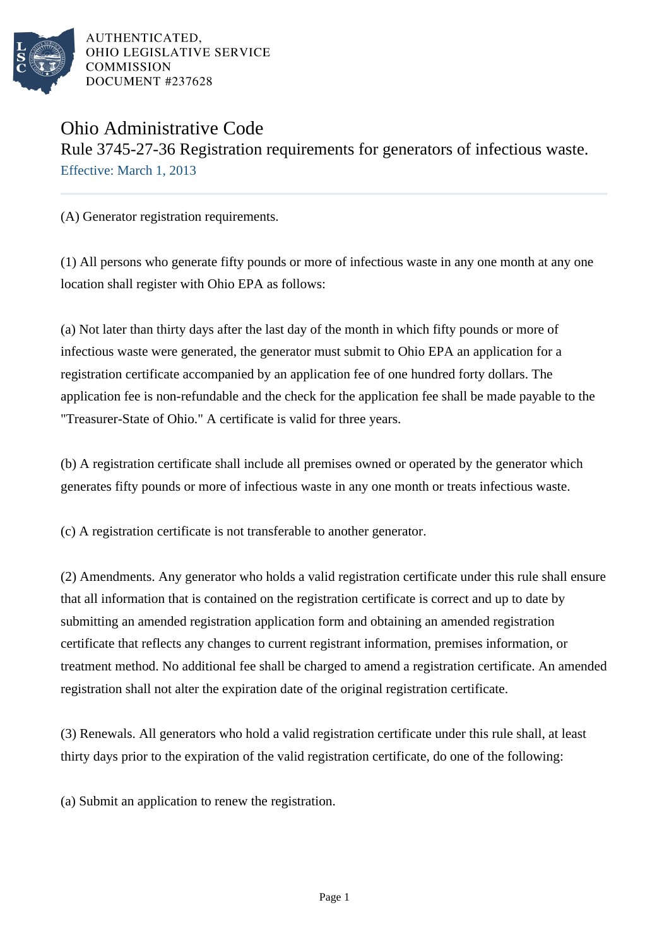

AUTHENTICATED. OHIO LEGISLATIVE SERVICE **COMMISSION** DOCUMENT #237628

## Ohio Administrative Code Rule 3745-27-36 Registration requirements for generators of infectious waste. Effective: March 1, 2013

(A) Generator registration requirements.

(1) All persons who generate fifty pounds or more of infectious waste in any one month at any one location shall register with Ohio EPA as follows:

(a) Not later than thirty days after the last day of the month in which fifty pounds or more of infectious waste were generated, the generator must submit to Ohio EPA an application for a registration certificate accompanied by an application fee of one hundred forty dollars. The application fee is non-refundable and the check for the application fee shall be made payable to the "Treasurer-State of Ohio." A certificate is valid for three years.

(b) A registration certificate shall include all premises owned or operated by the generator which generates fifty pounds or more of infectious waste in any one month or treats infectious waste.

(c) A registration certificate is not transferable to another generator.

(2) Amendments. Any generator who holds a valid registration certificate under this rule shall ensure that all information that is contained on the registration certificate is correct and up to date by submitting an amended registration application form and obtaining an amended registration certificate that reflects any changes to current registrant information, premises information, or treatment method. No additional fee shall be charged to amend a registration certificate. An amended registration shall not alter the expiration date of the original registration certificate.

(3) Renewals. All generators who hold a valid registration certificate under this rule shall, at least thirty days prior to the expiration of the valid registration certificate, do one of the following:

(a) Submit an application to renew the registration.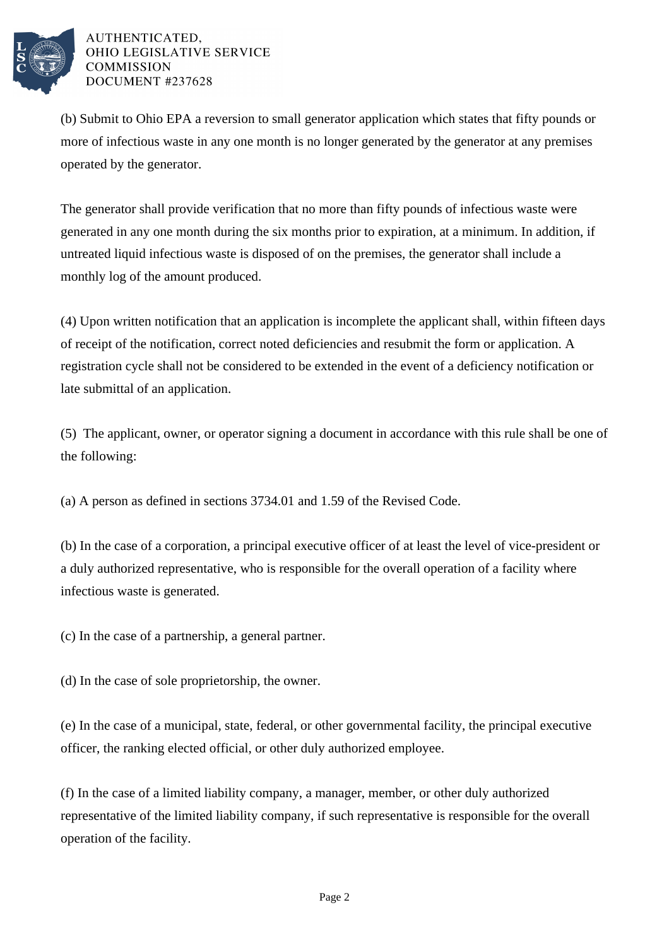

AUTHENTICATED. OHIO LEGISLATIVE SERVICE **COMMISSION** DOCUMENT #237628

(b) Submit to Ohio EPA a reversion to small generator application which states that fifty pounds or more of infectious waste in any one month is no longer generated by the generator at any premises operated by the generator.

The generator shall provide verification that no more than fifty pounds of infectious waste were generated in any one month during the six months prior to expiration, at a minimum. In addition, if untreated liquid infectious waste is disposed of on the premises, the generator shall include a monthly log of the amount produced.

(4) Upon written notification that an application is incomplete the applicant shall, within fifteen days of receipt of the notification, correct noted deficiencies and resubmit the form or application. A registration cycle shall not be considered to be extended in the event of a deficiency notification or late submittal of an application.

(5) The applicant, owner, or operator signing a document in accordance with this rule shall be one of the following:

(a) A person as defined in sections 3734.01 and 1.59 of the Revised Code.

(b) In the case of a corporation, a principal executive officer of at least the level of vice-president or a duly authorized representative, who is responsible for the overall operation of a facility where infectious waste is generated.

(c) In the case of a partnership, a general partner.

(d) In the case of sole proprietorship, the owner.

(e) In the case of a municipal, state, federal, or other governmental facility, the principal executive officer, the ranking elected official, or other duly authorized employee.

(f) In the case of a limited liability company, a manager, member, or other duly authorized representative of the limited liability company, if such representative is responsible for the overall operation of the facility.